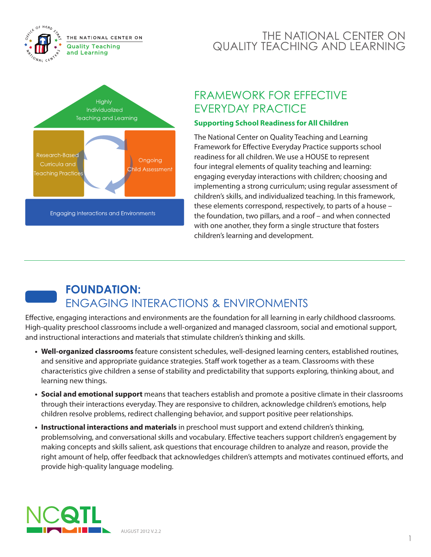

#### THE NATIONAL CENTER ON QUALITY TEACHING AND LEARNING

### FRAMEWORK FOR EFFECTIVE EVERYDAY PRACTICE

#### **Supporting School Readiness for All Children**

The National Center on Quality Teaching and Learning Framework for Effective Everyday Practice supports school readiness for all children. We use a HOUSE to represent four integral elements of quality teaching and learning: engaging everyday interactions with children; choosing and implementing a strong curriculum; using regular assessment of children's skills, and individualized teaching. In this framework, these elements correspond, respectively, to parts of a house – the foundation, two pillars, and a roof – and when connected with one another, they form a single structure that fosters children's learning and development.

# **FOUNDATION:**  ENGAGING INTERACTIONS & ENVIRONMENTS

Effective, engaging interactions and environments are the foundation for all learning in early childhood classrooms. High-quality preschool classrooms include a well-organized and managed classroom, social and emotional support, and instructional interactions and materials that stimulate children's thinking and skills.

- **• Well-organized classrooms** feature consistent schedules, well-designed learning centers, established routines, and sensitive and appropriate guidance strategies. Staff work together as a team. Classrooms with these characteristics give children a sense of stability and predictability that supports exploring, thinking about, and learning new things.
- **Social and emotional support** means that teachers establish and promote a positive climate in their classrooms through their interactions everyday. They are responsive to children, acknowledge children's emotions, help children resolve problems, redirect challenging behavior, and support positive peer relationships.
- **• Instructional interactions and materials** in preschool must support and extend children's thinking, problemsolving, and conversational skills and vocabulary. Effective teachers support children's engagement by making concepts and skills salient, ask questions that encourage children to analyze and reason, provide the right amount of help, offer feedback that acknowledges children's attempts and motivates continued efforts, and provide high-quality language modeling.